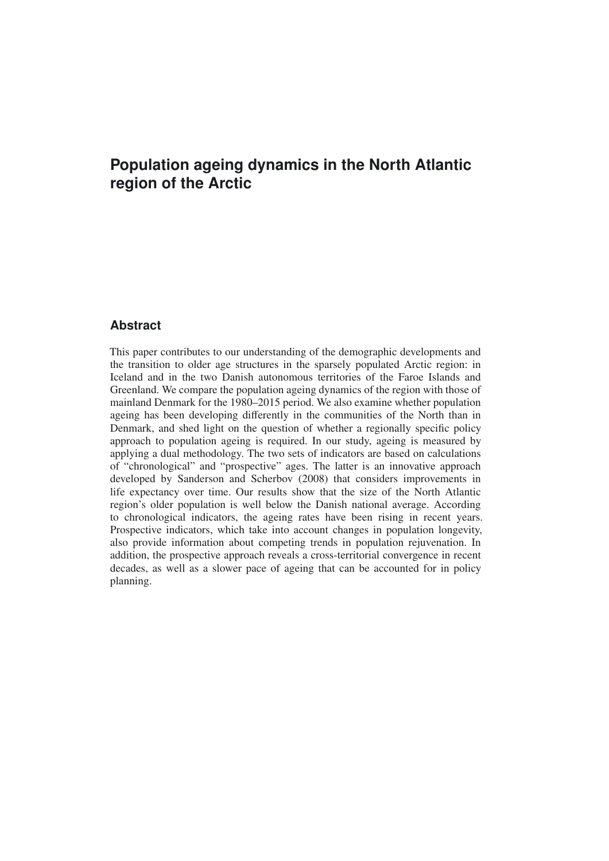# **Population ageing dynamics in the North Atlantic region of the Arctic**

# **Abstract**

This paper contributes to our understanding of the demographic developments and the transition to older age structures in the sparsely populated Arctic region: in Iceland and in the two Danish autonomous territories of the Faroe Islands and Greenland. We compare the population ageing dynamics of the region with those of mainland Denmark for the 1980–2015 period. We also examine whether population ageing has been developing differently in the communities of the North than in Denmark, and shed light on the question of whether a regionally specific policy approach to population ageing is required. In our study, ageing is measured by applying a dual methodology. The two sets of indicators are based on calculations of "chronological" and "prospective" ages. The latter is an innovative approach developed by Sanderson and Scherbov (2008) that considers improvements in life expectancy over time. Our results show that the size of the North Atlantic region's older population is well below the Danish national average. According to chronological indicators, the ageing rates have been rising in recent years. Prospective indicators, which take into account changes in population longevity, also provide information about competing trends in population rejuvenation. In addition, the prospective approach reveals a cross-territorial convergence in recent decades, as well as a slower pace of ageing that can be accounted for in policy planning.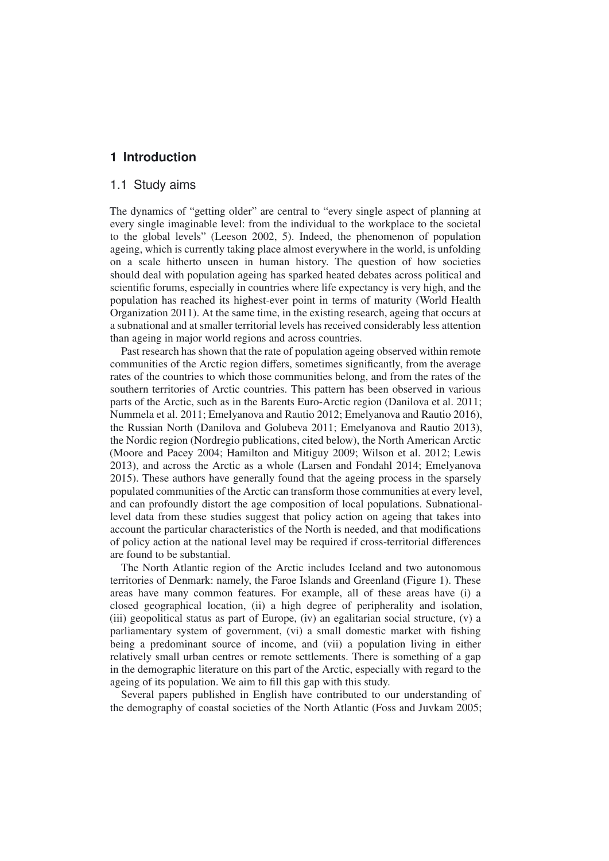# **1 Introduction**

# 1.1 Study aims

The dynamics of "getting older" are central to "every single aspect of planning at every single imaginable level: from the individual to the workplace to the societal to the global levels" (Leeson 2002, 5). Indeed, the phenomenon of population ageing, which is currently taking place almost everywhere in the world, is unfolding on a scale hitherto unseen in human history. The question of how societies should deal with population ageing has sparked heated debates across political and scientific forums, especially in countries where life expectancy is very high, and the population has reached its highest-ever point in terms of maturity (World Health Organization 2011). At the same time, in the existing research, ageing that occurs at a subnational and at smaller territorial levels has received considerably less attention than ageing in major world regions and across countries.

Past research has shown that the rate of population ageing observed within remote communities of the Arctic region differs, sometimes significantly, from the average rates of the countries to which those communities belong, and from the rates of the southern territories of Arctic countries. This pattern has been observed in various parts of the Arctic, such as in the Barents Euro-Arctic region (Danilova et al. 2011; Nummela et al. 2011; Emelyanova and Rautio 2012; Emelyanova and Rautio 2016), the Russian North (Danilova and Golubeva 2011; Emelyanova and Rautio 2013), the Nordic region (Nordregio publications, cited below), the North American Arctic (Moore and Pacey 2004; Hamilton and Mitiguy 2009; Wilson et al. 2012; Lewis 2013), and across the Arctic as a whole (Larsen and Fondahl 2014; Emelyanova 2015). These authors have generally found that the ageing process in the sparsely populated communities of the Arctic can transform those communities at every level, and can profoundly distort the age composition of local populations. Subnationallevel data from these studies suggest that policy action on ageing that takes into account the particular characteristics of the North is needed, and that modifications of policy action at the national level may be required if cross-territorial differences are found to be substantial.

The North Atlantic region of the Arctic includes Iceland and two autonomous territories of Denmark: namely, the Faroe Islands and Greenland (Figure 1). These areas have many common features. For example, all of these areas have (i) a closed geographical location, (ii) a high degree of peripherality and isolation, (iii) geopolitical status as part of Europe, (iv) an egalitarian social structure, (v) a parliamentary system of government, (vi) a small domestic market with fishing being a predominant source of income, and (vii) a population living in either relatively small urban centres or remote settlements. There is something of a gap in the demographic literature on this part of the Arctic, especially with regard to the ageing of its population. We aim to fill this gap with this study.

Several papers published in English have contributed to our understanding of the demography of coastal societies of the North Atlantic (Foss and Juvkam 2005;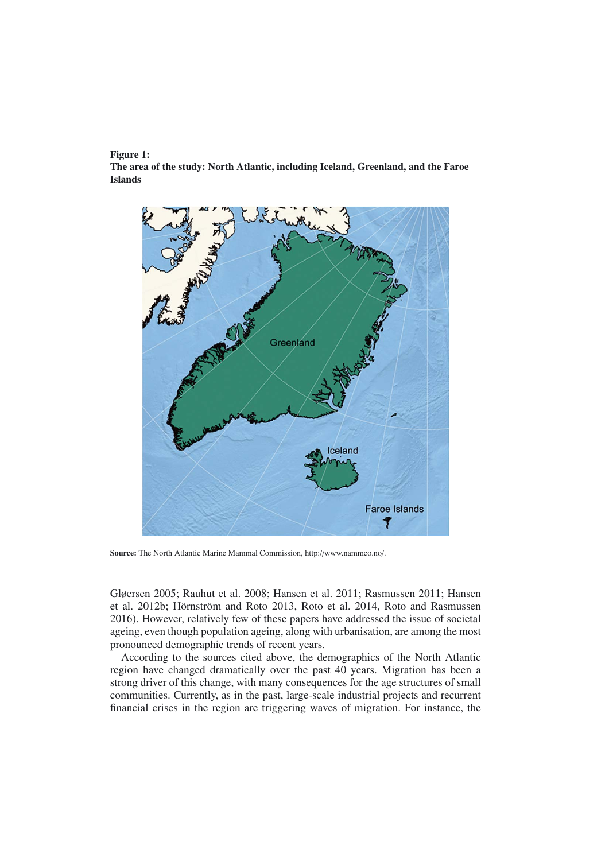#### Figure 1:

The area of the study: North Atlantic, including Iceland, Greenland, and the Faroe Islands



Source: The North Atlantic Marine Mammal Commission, http://www.nammco.no/.

Gløersen 2005; Rauhut et al. 2008; Hansen et al. 2011; Rasmussen 2011; Hansen et al. 2012b; Hörnström and Roto 2013, Roto et al. 2014, Roto and Rasmussen 2016). However, relatively few of these papers have addressed the issue of societal ageing, even though population ageing, along with urbanisation, are among the most pronounced demographic trends of recent years.

According to the sources cited above, the demographics of the North Atlantic region have changed dramatically over the past 40 years. Migration has been a strong driver of this change, with many consequences for the age structures of small communities. Currently, as in the past, large-scale industrial projects and recurrent financial crises in the region are triggering waves of migration. For instance, the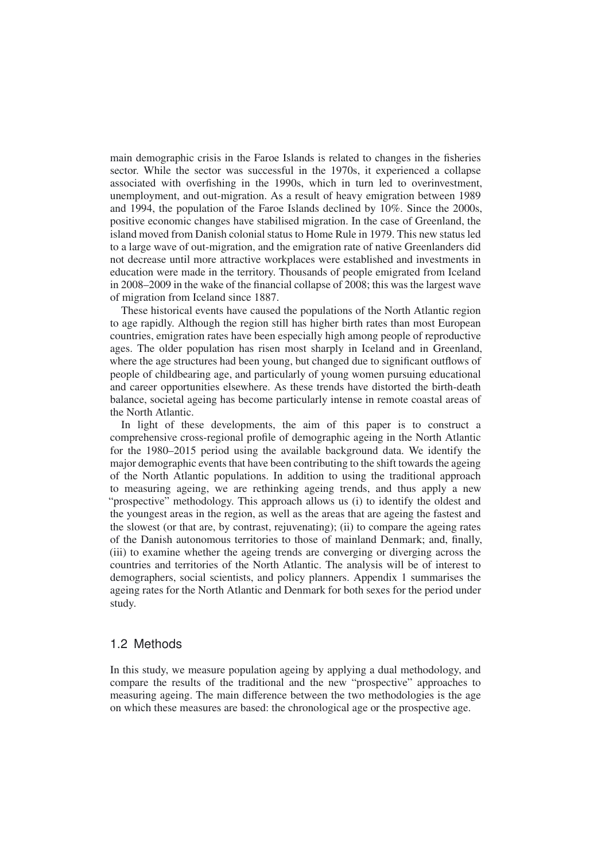main demographic crisis in the Faroe Islands is related to changes in the fisheries sector. While the sector was successful in the 1970s, it experienced a collapse associated with overfishing in the 1990s, which in turn led to overinvestment, unemployment, and out-migration. As a result of heavy emigration between 1989 and 1994, the population of the Faroe Islands declined by 10%. Since the 2000s, positive economic changes have stabilised migration. In the case of Greenland, the island moved from Danish colonial status to Home Rule in 1979. This new status led to a large wave of out-migration, and the emigration rate of native Greenlanders did not decrease until more attractive workplaces were established and investments in education were made in the territory. Thousands of people emigrated from Iceland in 2008–2009 in the wake of the financial collapse of 2008; this was the largest wave of migration from Iceland since 1887.

These historical events have caused the populations of the North Atlantic region to age rapidly. Although the region still has higher birth rates than most European countries, emigration rates have been especially high among people of reproductive ages. The older population has risen most sharply in Iceland and in Greenland, where the age structures had been young, but changed due to significant outflows of people of childbearing age, and particularly of young women pursuing educational and career opportunities elsewhere. As these trends have distorted the birth-death balance, societal ageing has become particularly intense in remote coastal areas of the North Atlantic.

In light of these developments, the aim of this paper is to construct a comprehensive cross-regional profile of demographic ageing in the North Atlantic for the 1980–2015 period using the available background data. We identify the major demographic events that have been contributing to the shift towards the ageing of the North Atlantic populations. In addition to using the traditional approach to measuring ageing, we are rethinking ageing trends, and thus apply a new "prospective" methodology. This approach allows us (i) to identify the oldest and the youngest areas in the region, as well as the areas that are ageing the fastest and the slowest (or that are, by contrast, rejuvenating); (ii) to compare the ageing rates of the Danish autonomous territories to those of mainland Denmark; and, finally, (iii) to examine whether the ageing trends are converging or diverging across the countries and territories of the North Atlantic. The analysis will be of interest to demographers, social scientists, and policy planners. Appendix 1 summarises the ageing rates for the North Atlantic and Denmark for both sexes for the period under study.

## 1.2 Methods

In this study, we measure population ageing by applying a dual methodology, and compare the results of the traditional and the new "prospective" approaches to measuring ageing. The main difference between the two methodologies is the age on which these measures are based: the chronological age or the prospective age.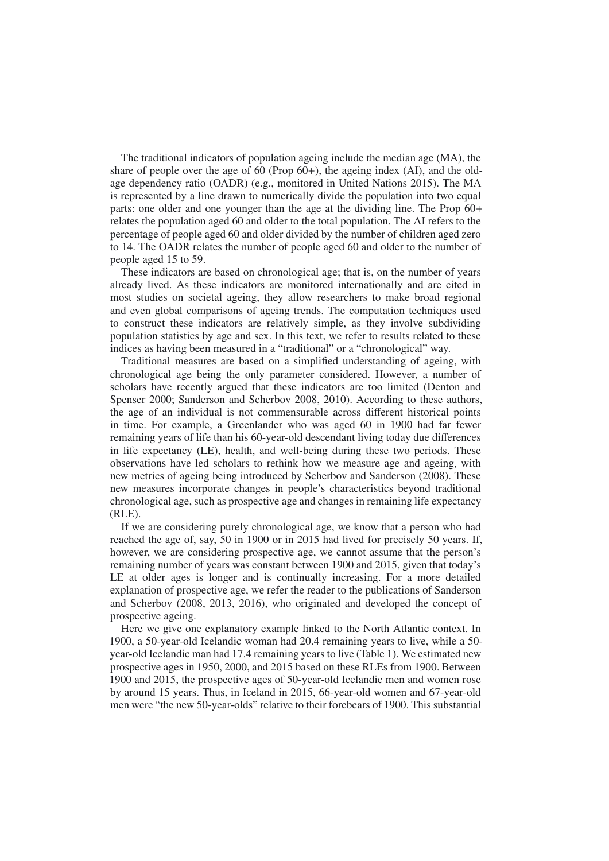The traditional indicators of population ageing include the median age (MA), the share of people over the age of 60 (Prop  $60+$ ), the ageing index (AI), and the oldage dependency ratio (OADR) (e.g., monitored in United Nations 2015). The MA is represented by a line drawn to numerically divide the population into two equal parts: one older and one younger than the age at the dividing line. The Prop 60+ relates the population aged 60 and older to the total population. The AI refers to the percentage of people aged 60 and older divided by the number of children aged zero to 14. The OADR relates the number of people aged 60 and older to the number of people aged 15 to 59.

These indicators are based on chronological age; that is, on the number of years already lived. As these indicators are monitored internationally and are cited in most studies on societal ageing, they allow researchers to make broad regional and even global comparisons of ageing trends. The computation techniques used to construct these indicators are relatively simple, as they involve subdividing population statistics by age and sex. In this text, we refer to results related to these indices as having been measured in a "traditional" or a "chronological" way.

Traditional measures are based on a simplified understanding of ageing, with chronological age being the only parameter considered. However, a number of scholars have recently argued that these indicators are too limited (Denton and Spenser 2000; Sanderson and Scherbov 2008, 2010). According to these authors, the age of an individual is not commensurable across different historical points in time. For example, a Greenlander who was aged 60 in 1900 had far fewer remaining years of life than his 60-year-old descendant living today due differences in life expectancy (LE), health, and well-being during these two periods. These observations have led scholars to rethink how we measure age and ageing, with new metrics of ageing being introduced by Scherbov and Sanderson (2008). These new measures incorporate changes in people's characteristics beyond traditional chronological age, such as prospective age and changes in remaining life expectancy  $(RLE)$ .

If we are considering purely chronological age, we know that a person who had reached the age of, say, 50 in 1900 or in 2015 had lived for precisely 50 years. If, however, we are considering prospective age, we cannot assume that the person's remaining number of years was constant between 1900 and 2015, given that today's LE at older ages is longer and is continually increasing. For a more detailed explanation of prospective age, we refer the reader to the publications of Sanderson and Scherbov (2008, 2013, 2016), who originated and developed the concept of prospective ageing.

Here we give one explanatory example linked to the North Atlantic context. In 1900, a 50-year-old Icelandic woman had 20.4 remaining years to live, while a 50 year-old Icelandic man had 17.4 remaining years to live (Table 1). We estimated new prospective ages in 1950, 2000, and 2015 based on these RLEs from 1900. Between 1900 and 2015, the prospective ages of 50-year-old Icelandic men and women rose by around 15 years. Thus, in Iceland in 2015, 66-year-old women and 67-year-old men were "the new 50-year-olds" relative to their forebears of 1900. This substantial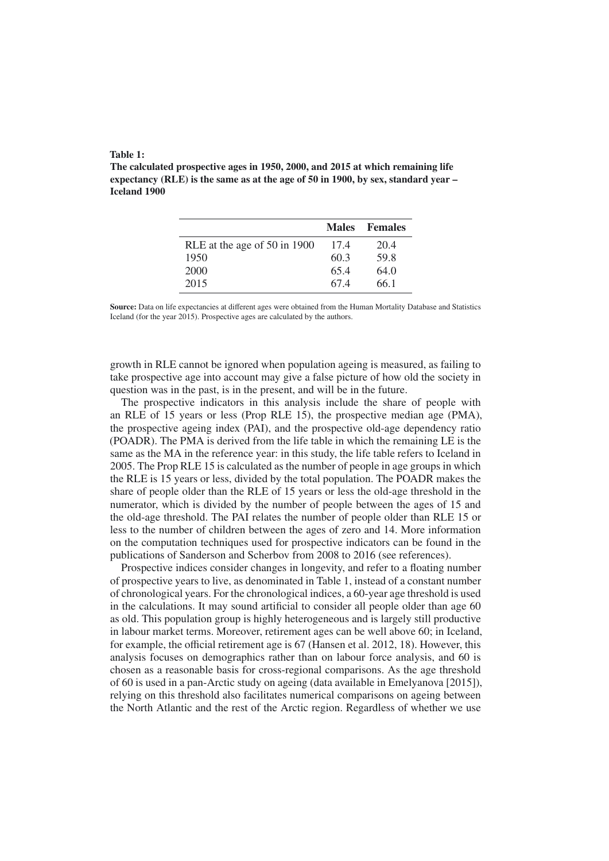#### Table 1:

The calculated prospective ages in 1950, 2000, and 2015 at which remaining life expectancy (RLE) is the same as at the age of 50 in 1900, by sex, standard year – Iceland 1900

|                              | <b>Males</b> | <b>Females</b> |
|------------------------------|--------------|----------------|
| RLE at the age of 50 in 1900 | 17.4         | 20.4           |
| 1950                         | 60.3         | 59.8           |
| 2000                         | 65.4         | 64.0           |
| 2015                         | 67.4         | 66.1           |

Source: Data on life expectancies at different ages were obtained from the Human Mortality Database and Statistics Iceland (for the year 2015). Prospective ages are calculated by the authors.

growth in RLE cannot be ignored when population ageing is measured, as failing to take prospective age into account may give a false picture of how old the society in question was in the past, is in the present, and will be in the future.

The prospective indicators in this analysis include the share of people with an RLE of 15 years or less (Prop RLE 15), the prospective median age (PMA), the prospective ageing index (PAI), and the prospective old-age dependency ratio (POADR). The PMA is derived from the life table in which the remaining LE is the same as the MA in the reference year: in this study, the life table refers to Iceland in 2005. The Prop RLE 15 is calculated as the number of people in age groups in which the RLE is 15 years or less, divided by the total population. The POADR makes the share of people older than the RLE of 15 years or less the old-age threshold in the numerator, which is divided by the number of people between the ages of 15 and the old-age threshold. The PAI relates the number of people older than RLE 15 or less to the number of children between the ages of zero and 14. More information on the computation techniques used for prospective indicators can be found in the publications of Sanderson and Scherbov from 2008 to 2016 (see references).

Prospective indices consider changes in longevity, and refer to a floating number of prospective years to live, as denominated in Table 1, instead of a constant number of chronological years. For the chronological indices, a 60-year age threshold is used in the calculations. It may sound artificial to consider all people older than age 60 as old. This population group is highly heterogeneous and is largely still productive in labour market terms. Moreover, retirement ages can be well above 60; in Iceland, for example, the official retirement age is 67 (Hansen et al. 2012, 18). However, this analysis focuses on demographics rather than on labour force analysis, and 60 is chosen as a reasonable basis for cross-regional comparisons. As the age threshold of 60 is used in a pan-Arctic study on ageing (data available in Emelyanova [2015]), relying on this threshold also facilitates numerical comparisons on ageing between the North Atlantic and the rest of the Arctic region. Regardless of whether we use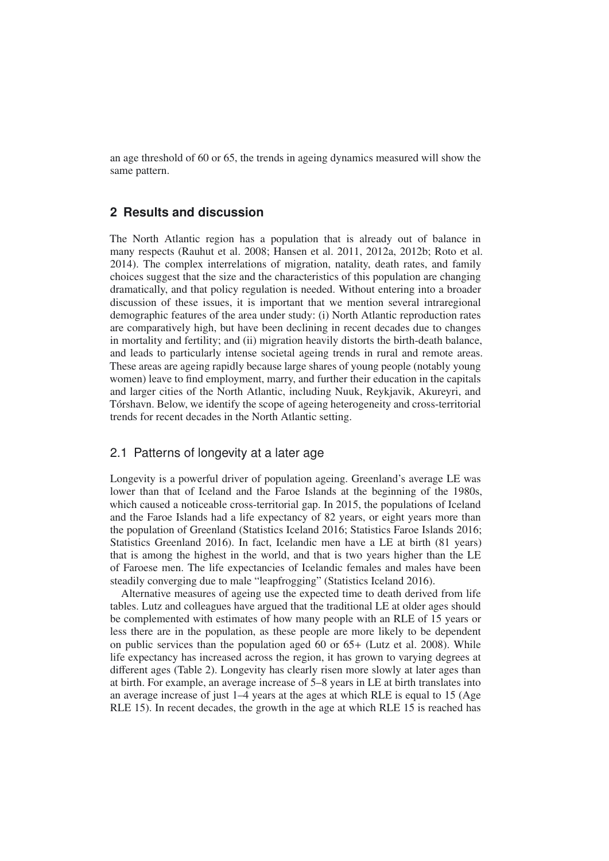an age threshold of 60 or 65, the trends in ageing dynamics measured will show the same pattern.

## **2 Results and discussion**

The North Atlantic region has a population that is already out of balance in many respects (Rauhut et al. 2008; Hansen et al. 2011, 2012a, 2012b; Roto et al. 2014). The complex interrelations of migration, natality, death rates, and family choices suggest that the size and the characteristics of this population are changing dramatically, and that policy regulation is needed. Without entering into a broader discussion of these issues, it is important that we mention several intraregional demographic features of the area under study: (i) North Atlantic reproduction rates are comparatively high, but have been declining in recent decades due to changes in mortality and fertility; and (ii) migration heavily distorts the birth-death balance, and leads to particularly intense societal ageing trends in rural and remote areas. These areas are ageing rapidly because large shares of young people (notably young women) leave to find employment, marry, and further their education in the capitals and larger cities of the North Atlantic, including Nuuk, Reykjavik, Akureyri, and Torshavn. Below, we identify the scope of ageing heterogeneity and cross-territorial ´ trends for recent decades in the North Atlantic setting.

# 2.1 Patterns of longevity at a later age

Longevity is a powerful driver of population ageing. Greenland's average LE was lower than that of Iceland and the Faroe Islands at the beginning of the 1980s, which caused a noticeable cross-territorial gap. In 2015, the populations of Iceland and the Faroe Islands had a life expectancy of 82 years, or eight years more than the population of Greenland (Statistics Iceland 2016; Statistics Faroe Islands 2016; Statistics Greenland 2016). In fact, Icelandic men have a LE at birth (81 years) that is among the highest in the world, and that is two years higher than the LE of Faroese men. The life expectancies of Icelandic females and males have been steadily converging due to male "leapfrogging" (Statistics Iceland 2016).

Alternative measures of ageing use the expected time to death derived from life tables. Lutz and colleagues have argued that the traditional LE at older ages should be complemented with estimates of how many people with an RLE of 15 years or less there are in the population, as these people are more likely to be dependent on public services than the population aged 60 or 65+ (Lutz et al. 2008). While life expectancy has increased across the region, it has grown to varying degrees at different ages (Table 2). Longevity has clearly risen more slowly at later ages than at birth. For example, an average increase of 5–8 years in LE at birth translates into an average increase of just 1–4 years at the ages at which RLE is equal to 15 (Age RLE 15). In recent decades, the growth in the age at which RLE 15 is reached has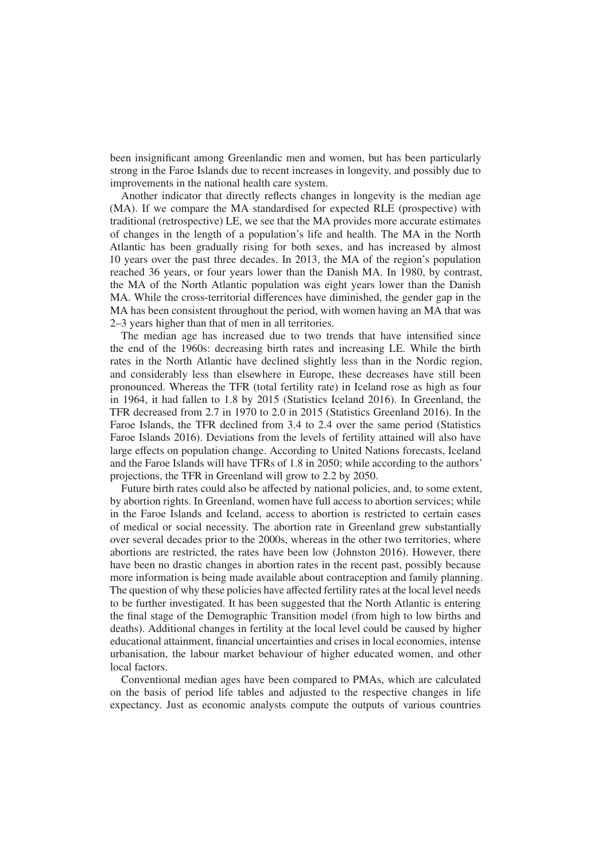been insignificant among Greenlandic men and women, but has been particularly strong in the Faroe Islands due to recent increases in longevity, and possibly due to improvements in the national health care system.

Another indicator that directly reflects changes in longevity is the median age (MA). If we compare the MA standardised for expected RLE (prospective) with traditional (retrospective) LE, we see that the MA provides more accurate estimates of changes in the length of a population's life and health. The MA in the North Atlantic has been gradually rising for both sexes, and has increased by almost 10 years over the past three decades. In 2013, the MA of the region's population reached 36 years, or four years lower than the Danish MA. In 1980, by contrast, the MA of the North Atlantic population was eight years lower than the Danish MA. While the cross-territorial differences have diminished, the gender gap in the MA has been consistent throughout the period, with women having an MA that was 2–3 years higher than that of men in all territories.

The median age has increased due to two trends that have intensified since the end of the 1960s: decreasing birth rates and increasing LE. While the birth rates in the North Atlantic have declined slightly less than in the Nordic region, and considerably less than elsewhere in Europe, these decreases have still been pronounced. Whereas the TFR (total fertility rate) in Iceland rose as high as four in 1964, it had fallen to 1.8 by 2015 (Statistics Iceland 2016). In Greenland, the TFR decreased from 2.7 in 1970 to 2.0 in 2015 (Statistics Greenland 2016). In the Faroe Islands, the TFR declined from 3.4 to 2.4 over the same period (Statistics Faroe Islands 2016). Deviations from the levels of fertility attained will also have large effects on population change. According to United Nations forecasts, Iceland and the Faroe Islands will have TFRs of 1.8 in 2050; while according to the authors' projections, the TFR in Greenland will grow to 2.2 by 2050.

Future birth rates could also be affected by national policies, and, to some extent, by abortion rights. In Greenland, women have full access to abortion services; while in the Faroe Islands and Iceland, access to abortion is restricted to certain cases of medical or social necessity. The abortion rate in Greenland grew substantially over several decades prior to the 2000s, whereas in the other two territories, where abortions are restricted, the rates have been low (Johnston 2016). However, there have been no drastic changes in abortion rates in the recent past, possibly because more information is being made available about contraception and family planning. The question of why these policies have affected fertility rates at the local level needs to be further investigated. It has been suggested that the North Atlantic is entering the final stage of the Demographic Transition model (from high to low births and deaths). Additional changes in fertility at the local level could be caused by higher educational attainment, financial uncertainties and crises in local economies, intense urbanisation, the labour market behaviour of higher educated women, and other local factors.

Conventional median ages have been compared to PMAs, which are calculated on the basis of period life tables and adjusted to the respective changes in life expectancy. Just as economic analysts compute the outputs of various countries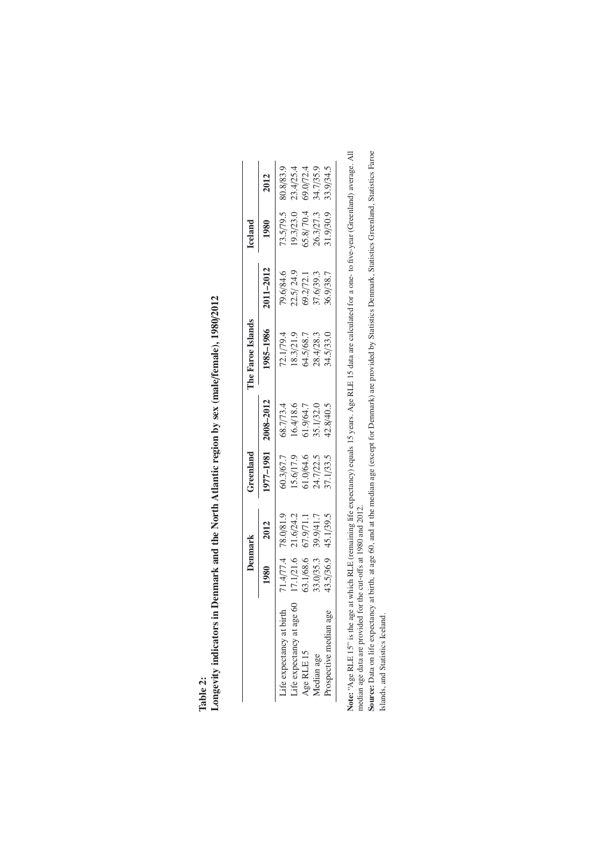| ℶ |  |
|---|--|
|   |  |
| ÷ |  |

Longevity indicators in Denmark and the North Atlantic region by sex (male/female), 1980/2012 Longevity indicators in Denmark and the North Atlantic region by sex (male/female), 1980/2012

|                              | Denmark    |           | Greenland |                        | The Faroe Islands |                        | lceland                |           |
|------------------------------|------------|-----------|-----------|------------------------|-------------------|------------------------|------------------------|-----------|
|                              | <b>980</b> | 2012      | 977-1981  | 2008-2012              | 985-1986          | 2011-2012              | 1980                   | 2012      |
| life expectancy at birth.    | 1.4/77.4   | 78.0/81.  | 0.3/67.7  | 58.7/73.4              | 72.1/79.4         | 79.6/84.6              | 73.5/79.5              | 80.8/83.9 |
| 8<br>Life expectancy at age. | 17.1/21.6  | 21.6/24.2 | 15.6/17.9 |                        | 18.3/21.9         |                        |                        | 23.4/25.4 |
| Age RLE 15                   | 53.1/68.6  | 67.9/71.  | 61.0/64.6 | 16.4/18.6<br>51.9/64.7 | 04.5/68.7         | 22.5/24.9<br>69.2/72.1 | 19.3/23.0<br>65.8/70.4 | 69.0/72.4 |
| Median age                   | 33.0/35.3  | 39.9/41.7 | 24.7/22.5 | 35.1/32.0              | 28.4/28.3         | 37.6/39.3              | 26.3/27.3              | 34.7/35.9 |
| rospective median age        | 43.5/36.9  | 45.1/39.5 | 37.1/33.5 | 42.8/40.5              | 34.5/33.0         | 36.9/38.7              | 81.9/30.9              | 33.9/34.5 |

Note: "Age RLE 15" is the age at which RLE (remaining life expectancy) equals 15 years. Age RLE 15 data are calculated for a one- to five-year (Greenland) average. All<br>median age data are provided for the cut-offs at 1980 Note: "Age RLE 15" is the age at which RLE (remaining life expectancy) equals 15 years. Age RLE 15 data are calculated for a one- to five-year (Greenland) average. All median age data are provided for the cut-offs at 1980 and 2012.

**Source:** Data on life expectancy at birth, at age 60, and at the median age (except for Demmark) are provided by Statistics Demmark, Statistics Greenland, Statistics Faroe<br>Islands, and Statistics Iceland. Source: Data on life expectancy at birth, at age 60, and at the median age (except for Denmark) are provided by Statistics Denmark, Statistics Greenland, Statistics Faroe Islands, and Statistics Iceland.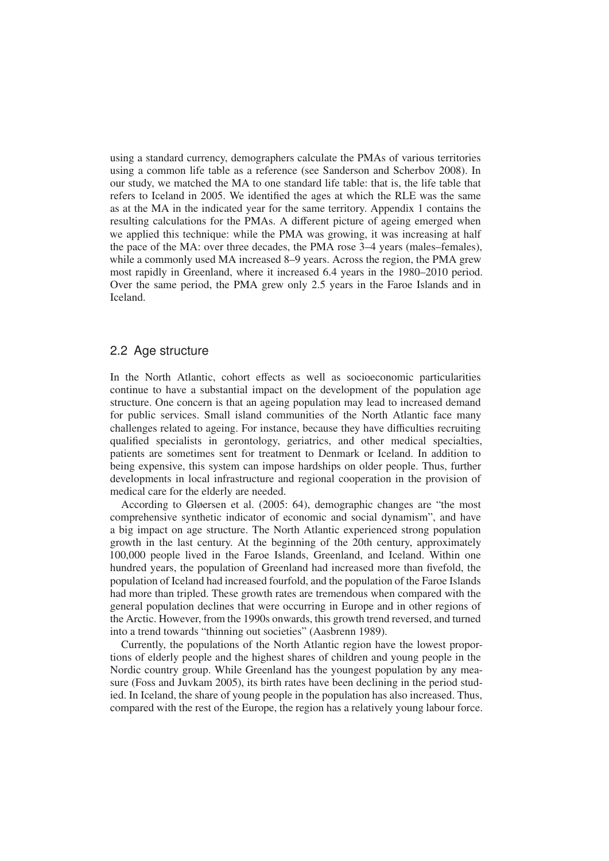using a standard currency, demographers calculate the PMAs of various territories using a common life table as a reference (see Sanderson and Scherbov 2008). In our study, we matched the MA to one standard life table: that is, the life table that refers to Iceland in 2005. We identified the ages at which the RLE was the same as at the MA in the indicated year for the same territory. Appendix 1 contains the resulting calculations for the PMAs. A different picture of ageing emerged when we applied this technique: while the PMA was growing, it was increasing at half the pace of the MA: over three decades, the PMA rose 3–4 years (males–females), while a commonly used MA increased 8–9 years. Across the region, the PMA grew most rapidly in Greenland, where it increased 6.4 years in the 1980–2010 period. Over the same period, the PMA grew only 2.5 years in the Faroe Islands and in Iceland.

#### 2.2 Age structure

In the North Atlantic, cohort effects as well as socioeconomic particularities continue to have a substantial impact on the development of the population age structure. One concern is that an ageing population may lead to increased demand for public services. Small island communities of the North Atlantic face many challenges related to ageing. For instance, because they have difficulties recruiting qualified specialists in gerontology, geriatrics, and other medical specialties, patients are sometimes sent for treatment to Denmark or Iceland. In addition to being expensive, this system can impose hardships on older people. Thus, further developments in local infrastructure and regional cooperation in the provision of medical care for the elderly are needed.

According to Gløersen et al. (2005: 64), demographic changes are "the most comprehensive synthetic indicator of economic and social dynamism", and have a big impact on age structure. The North Atlantic experienced strong population growth in the last century. At the beginning of the 20th century, approximately 100,000 people lived in the Faroe Islands, Greenland, and Iceland. Within one hundred years, the population of Greenland had increased more than fivefold, the population of Iceland had increased fourfold, and the population of the Faroe Islands had more than tripled. These growth rates are tremendous when compared with the general population declines that were occurring in Europe and in other regions of the Arctic. However, from the 1990s onwards, this growth trend reversed, and turned into a trend towards "thinning out societies" (Aasbrenn 1989).

Currently, the populations of the North Atlantic region have the lowest proportions of elderly people and the highest shares of children and young people in the Nordic country group. While Greenland has the youngest population by any measure (Foss and Juvkam 2005), its birth rates have been declining in the period studied. In Iceland, the share of young people in the population has also increased. Thus, compared with the rest of the Europe, the region has a relatively young labour force.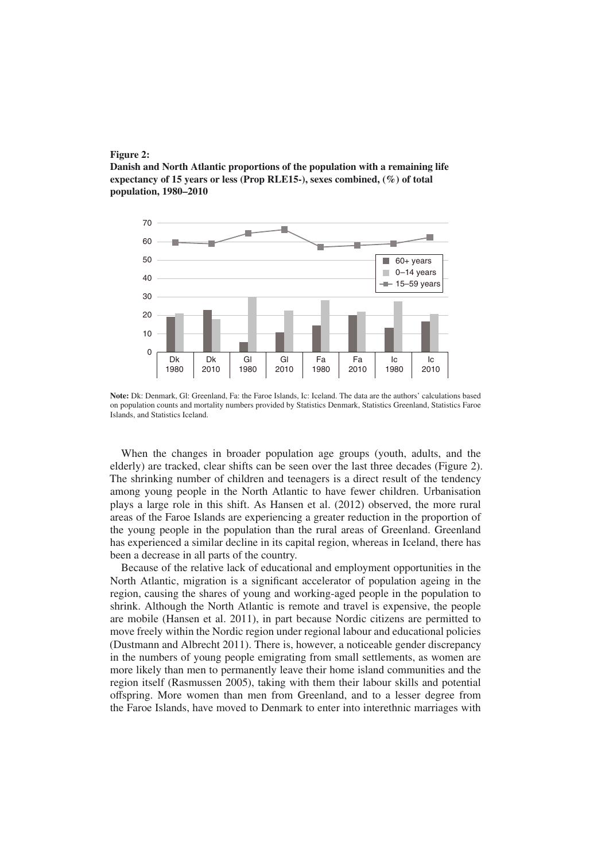



Note: Dk: Denmark, Gl: Greenland, Fa: the Faroe Islands, Ic: Iceland. The data are the authors' calculations based on population counts and mortality numbers provided by Statistics Denmark, Statistics Greenland, Statistics Faroe Islands, and Statistics Iceland.

When the changes in broader population age groups (youth, adults, and the elderly) are tracked, clear shifts can be seen over the last three decades (Figure 2). The shrinking number of children and teenagers is a direct result of the tendency among young people in the North Atlantic to have fewer children. Urbanisation plays a large role in this shift. As Hansen et al. (2012) observed, the more rural areas of the Faroe Islands are experiencing a greater reduction in the proportion of the young people in the population than the rural areas of Greenland. Greenland has experienced a similar decline in its capital region, whereas in Iceland, there has been a decrease in all parts of the country.

Because of the relative lack of educational and employment opportunities in the North Atlantic, migration is a significant accelerator of population ageing in the region, causing the shares of young and working-aged people in the population to shrink. Although the North Atlantic is remote and travel is expensive, the people are mobile (Hansen et al. 2011), in part because Nordic citizens are permitted to move freely within the Nordic region under regional labour and educational policies (Dustmann and Albrecht 2011). There is, however, a noticeable gender discrepancy in the numbers of young people emigrating from small settlements, as women are more likely than men to permanently leave their home island communities and the region itself (Rasmussen 2005), taking with them their labour skills and potential offspring. More women than men from Greenland, and to a lesser degree from the Faroe Islands, have moved to Denmark to enter into interethnic marriages with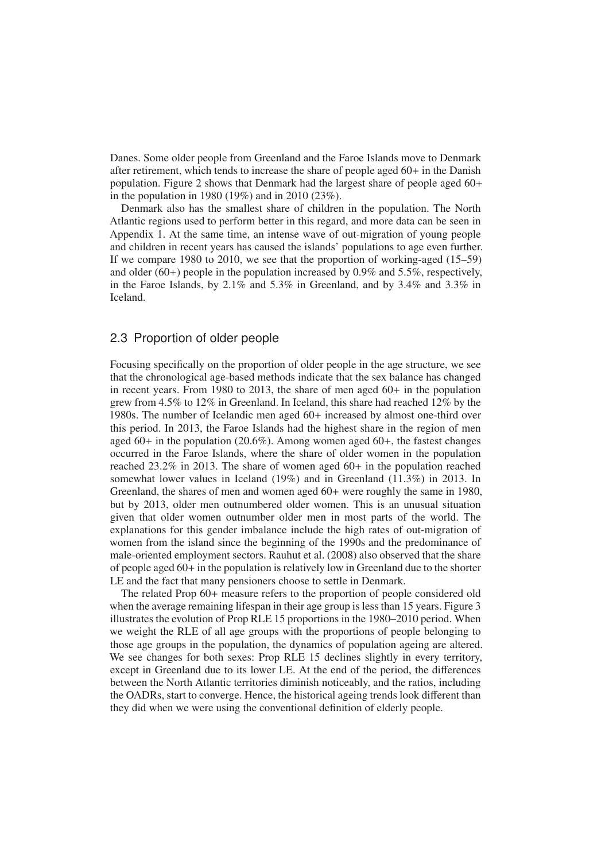Danes. Some older people from Greenland and the Faroe Islands move to Denmark after retirement, which tends to increase the share of people aged 60+ in the Danish population. Figure 2 shows that Denmark had the largest share of people aged 60+ in the population in 1980 (19%) and in 2010 (23%).

Denmark also has the smallest share of children in the population. The North Atlantic regions used to perform better in this regard, and more data can be seen in Appendix 1. At the same time, an intense wave of out-migration of young people and children in recent years has caused the islands' populations to age even further. If we compare 1980 to 2010, we see that the proportion of working-aged (15–59) and older  $(60+)$  people in the population increased by 0.9% and 5.5%, respectively, in the Faroe Islands, by 2.1% and 5.3% in Greenland, and by 3.4% and 3.3% in Iceland.

#### 2.3 Proportion of older people

Focusing specifically on the proportion of older people in the age structure, we see that the chronological age-based methods indicate that the sex balance has changed in recent years. From 1980 to 2013, the share of men aged  $60+$  in the population grew from 4.5% to 12% in Greenland. In Iceland, this share had reached 12% by the 1980s. The number of Icelandic men aged 60+ increased by almost one-third over this period. In 2013, the Faroe Islands had the highest share in the region of men aged 60+ in the population (20.6%). Among women aged 60+, the fastest changes occurred in the Faroe Islands, where the share of older women in the population reached 23.2% in 2013. The share of women aged 60+ in the population reached somewhat lower values in Iceland (19%) and in Greenland (11.3%) in 2013. In Greenland, the shares of men and women aged 60+ were roughly the same in 1980, but by 2013, older men outnumbered older women. This is an unusual situation given that older women outnumber older men in most parts of the world. The explanations for this gender imbalance include the high rates of out-migration of women from the island since the beginning of the 1990s and the predominance of male-oriented employment sectors. Rauhut et al. (2008) also observed that the share of people aged 60+ in the population is relatively low in Greenland due to the shorter LE and the fact that many pensioners choose to settle in Denmark.

The related Prop 60+ measure refers to the proportion of people considered old when the average remaining lifespan in their age group is less than 15 years. Figure 3 illustrates the evolution of Prop RLE 15 proportions in the 1980–2010 period. When we weight the RLE of all age groups with the proportions of people belonging to those age groups in the population, the dynamics of population ageing are altered. We see changes for both sexes: Prop RLE 15 declines slightly in every territory, except in Greenland due to its lower LE. At the end of the period, the differences between the North Atlantic territories diminish noticeably, and the ratios, including the OADRs, start to converge. Hence, the historical ageing trends look different than they did when we were using the conventional definition of elderly people.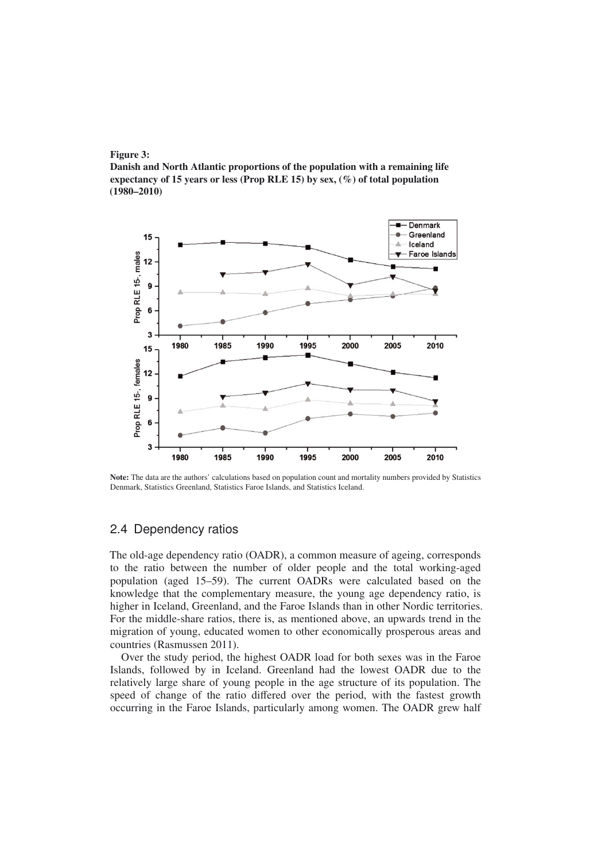



Note: The data are the authors' calculations based on population count and mortality numbers provided by Statistics Denmark, Statistics Greenland, Statistics Faroe Islands, and Statistics Iceland.

## 2.4 Dependency ratios

The old-age dependency ratio (OADR), a common measure of ageing, corresponds to the ratio between the number of older people and the total working-aged population (aged 15–59). The current OADRs were calculated based on the knowledge that the complementary measure, the young age dependency ratio, is higher in Iceland, Greenland, and the Faroe Islands than in other Nordic territories. For the middle-share ratios, there is, as mentioned above, an upwards trend in the migration of young, educated women to other economically prosperous areas and countries (Rasmussen 2011).

Over the study period, the highest OADR load for both sexes was in the Faroe Islands, followed by in Iceland. Greenland had the lowest OADR due to the relatively large share of young people in the age structure of its population. The speed of change of the ratio differed over the period, with the fastest growth occurring in the Faroe Islands, particularly among women. The OADR grew half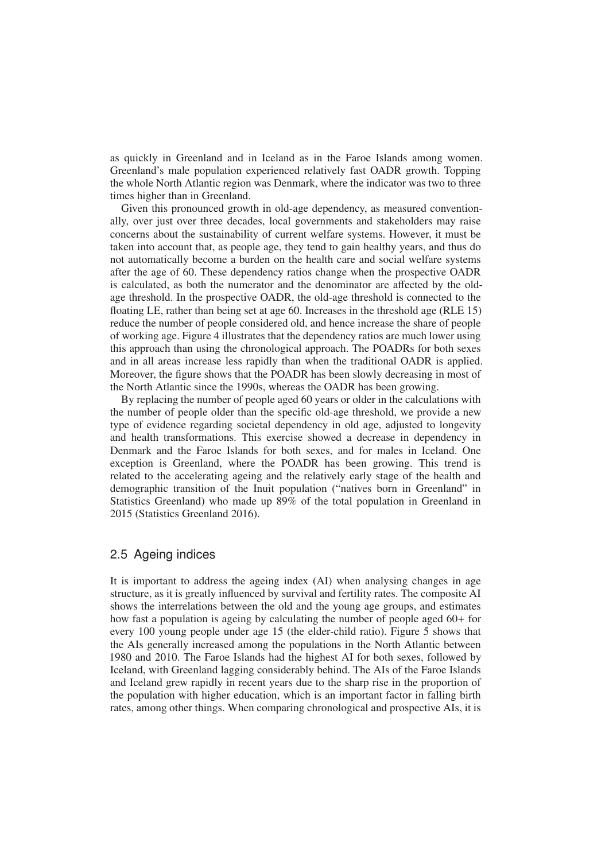as quickly in Greenland and in Iceland as in the Faroe Islands among women. Greenland's male population experienced relatively fast OADR growth. Topping the whole North Atlantic region was Denmark, where the indicator was two to three times higher than in Greenland.

Given this pronounced growth in old-age dependency, as measured conventionally, over just over three decades, local governments and stakeholders may raise concerns about the sustainability of current welfare systems. However, it must be taken into account that, as people age, they tend to gain healthy years, and thus do not automatically become a burden on the health care and social welfare systems after the age of 60. These dependency ratios change when the prospective OADR is calculated, as both the numerator and the denominator are affected by the oldage threshold. In the prospective OADR, the old-age threshold is connected to the floating LE, rather than being set at age 60. Increases in the threshold age (RLE 15) reduce the number of people considered old, and hence increase the share of people of working age. Figure 4 illustrates that the dependency ratios are much lower using this approach than using the chronological approach. The POADRs for both sexes and in all areas increase less rapidly than when the traditional OADR is applied. Moreover, the figure shows that the POADR has been slowly decreasing in most of the North Atlantic since the 1990s, whereas the OADR has been growing.

By replacing the number of people aged 60 years or older in the calculations with the number of people older than the specific old-age threshold, we provide a new type of evidence regarding societal dependency in old age, adjusted to longevity and health transformations. This exercise showed a decrease in dependency in Denmark and the Faroe Islands for both sexes, and for males in Iceland. One exception is Greenland, where the POADR has been growing. This trend is related to the accelerating ageing and the relatively early stage of the health and demographic transition of the Inuit population ("natives born in Greenland" in Statistics Greenland) who made up 89% of the total population in Greenland in 2015 (Statistics Greenland 2016).

# 2.5 Ageing indices

It is important to address the ageing index (AI) when analysing changes in age structure, as it is greatly influenced by survival and fertility rates. The composite AI shows the interrelations between the old and the young age groups, and estimates how fast a population is ageing by calculating the number of people aged 60+ for every 100 young people under age 15 (the elder-child ratio). Figure 5 shows that the AIs generally increased among the populations in the North Atlantic between 1980 and 2010. The Faroe Islands had the highest AI for both sexes, followed by Iceland, with Greenland lagging considerably behind. The AIs of the Faroe Islands and Iceland grew rapidly in recent years due to the sharp rise in the proportion of the population with higher education, which is an important factor in falling birth rates, among other things. When comparing chronological and prospective AIs, it is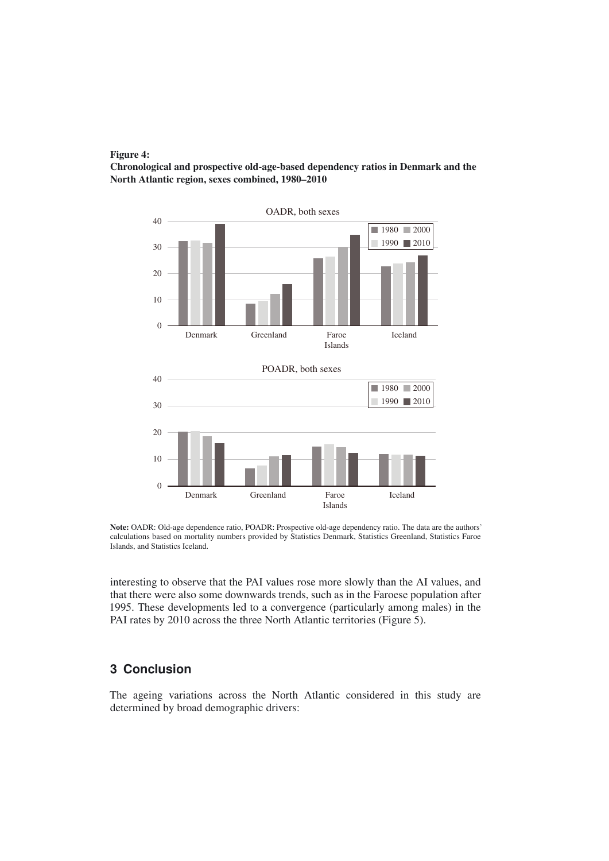

Chronological and prospective old-age-based dependency ratios in Denmark and the North Atlantic region, sexes combined, 1980–2010



Note: OADR: Old-age dependence ratio, POADR: Prospective old-age dependency ratio. The data are the authors' calculations based on mortality numbers provided by Statistics Denmark, Statistics Greenland, Statistics Faroe Islands, and Statistics Iceland.

interesting to observe that the PAI values rose more slowly than the AI values, and that there were also some downwards trends, such as in the Faroese population after 1995. These developments led to a convergence (particularly among males) in the PAI rates by 2010 across the three North Atlantic territories (Figure 5).

# **3 Conclusion**

The ageing variations across the North Atlantic considered in this study are determined by broad demographic drivers: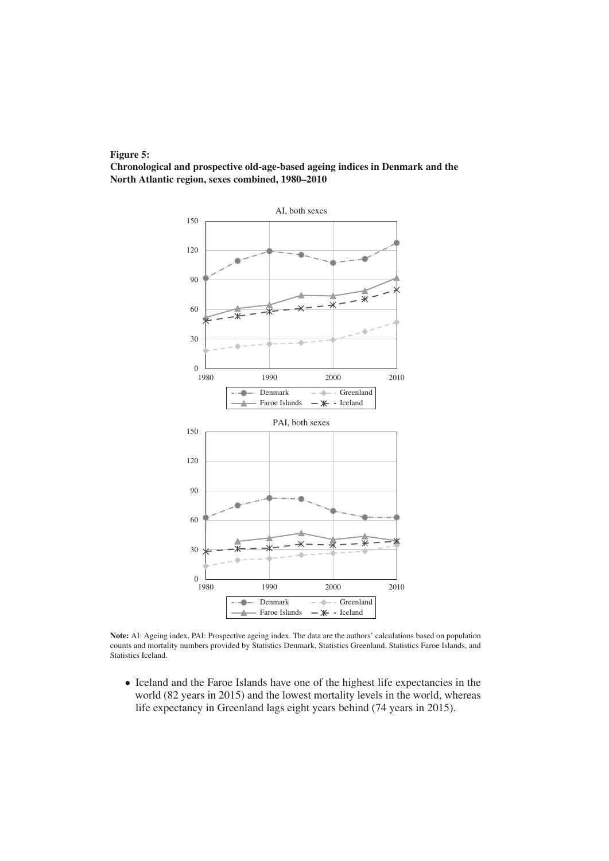

Chronological and prospective old-age-based ageing indices in Denmark and the North Atlantic region, sexes combined, 1980–2010



Note: AI: Ageing index, PAI: Prospective ageing index. The data are the authors' calculations based on population counts and mortality numbers provided by Statistics Denmark, Statistics Greenland, Statistics Faroe Islands, and Statistics Iceland.

• Iceland and the Faroe Islands have one of the highest life expectancies in the world (82 years in 2015) and the lowest mortality levels in the world, whereas life expectancy in Greenland lags eight years behind (74 years in 2015).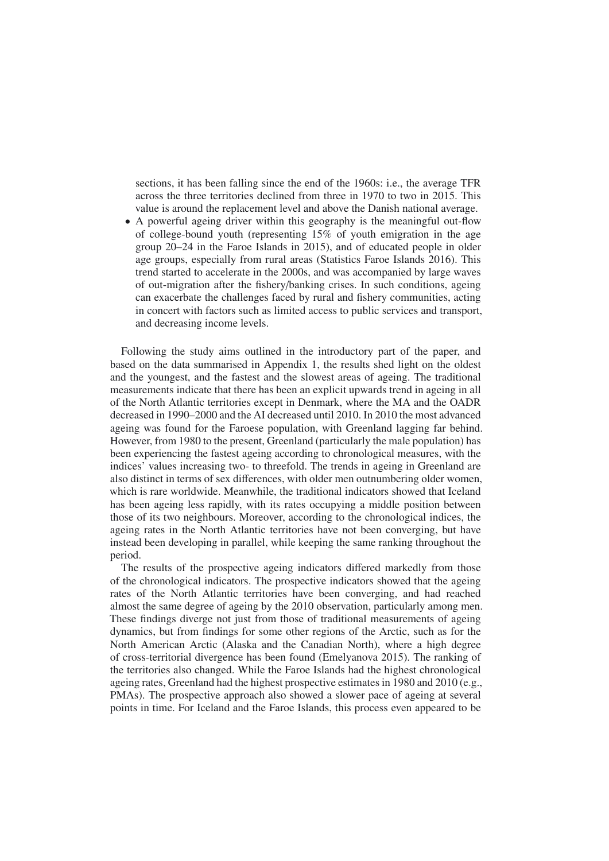sections, it has been falling since the end of the 1960s: i.e., the average TFR across the three territories declined from three in 1970 to two in 2015. This value is around the replacement level and above the Danish national average.

• A powerful ageing driver within this geography is the meaningful out-flow of college-bound youth (representing 15% of youth emigration in the age group 20–24 in the Faroe Islands in 2015), and of educated people in older age groups, especially from rural areas (Statistics Faroe Islands 2016). This trend started to accelerate in the 2000s, and was accompanied by large waves of out-migration after the fishery/banking crises. In such conditions, ageing can exacerbate the challenges faced by rural and fishery communities, acting in concert with factors such as limited access to public services and transport, and decreasing income levels.

Following the study aims outlined in the introductory part of the paper, and based on the data summarised in Appendix 1, the results shed light on the oldest and the youngest, and the fastest and the slowest areas of ageing. The traditional measurements indicate that there has been an explicit upwards trend in ageing in all of the North Atlantic territories except in Denmark, where the MA and the OADR decreased in 1990–2000 and the AI decreased until 2010. In 2010 the most advanced ageing was found for the Faroese population, with Greenland lagging far behind. However, from 1980 to the present, Greenland (particularly the male population) has been experiencing the fastest ageing according to chronological measures, with the indices' values increasing two- to threefold. The trends in ageing in Greenland are also distinct in terms of sex differences, with older men outnumbering older women, which is rare worldwide. Meanwhile, the traditional indicators showed that Iceland has been ageing less rapidly, with its rates occupying a middle position between those of its two neighbours. Moreover, according to the chronological indices, the ageing rates in the North Atlantic territories have not been converging, but have instead been developing in parallel, while keeping the same ranking throughout the period.

The results of the prospective ageing indicators differed markedly from those of the chronological indicators. The prospective indicators showed that the ageing rates of the North Atlantic territories have been converging, and had reached almost the same degree of ageing by the 2010 observation, particularly among men. These findings diverge not just from those of traditional measurements of ageing dynamics, but from findings for some other regions of the Arctic, such as for the North American Arctic (Alaska and the Canadian North), where a high degree of cross-territorial divergence has been found (Emelyanova 2015). The ranking of the territories also changed. While the Faroe Islands had the highest chronological ageing rates, Greenland had the highest prospective estimates in 1980 and 2010 (e.g., PMAs). The prospective approach also showed a slower pace of ageing at several points in time. For Iceland and the Faroe Islands, this process even appeared to be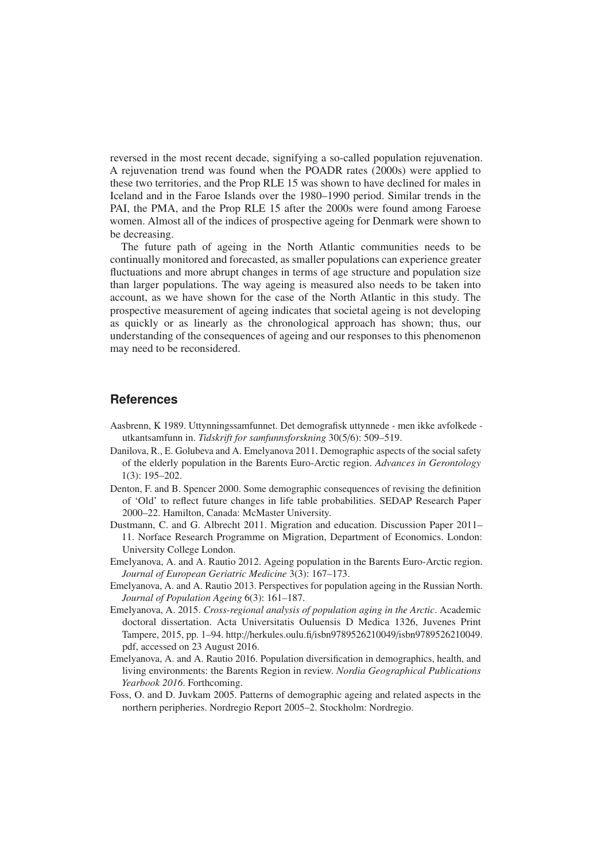reversed in the most recent decade, signifying a so-called population rejuvenation. A rejuvenation trend was found when the POADR rates (2000s) were applied to these two territories, and the Prop RLE 15 was shown to have declined for males in Iceland and in the Faroe Islands over the 1980–1990 period. Similar trends in the PAI, the PMA, and the Prop RLE 15 after the 2000s were found among Faroese women. Almost all of the indices of prospective ageing for Denmark were shown to be decreasing.

The future path of ageing in the North Atlantic communities needs to be continually monitored and forecasted, as smaller populations can experience greater fluctuations and more abrupt changes in terms of age structure and population size than larger populations. The way ageing is measured also needs to be taken into account, as we have shown for the case of the North Atlantic in this study. The prospective measurement of ageing indicates that societal ageing is not developing as quickly or as linearly as the chronological approach has shown; thus, our understanding of the consequences of ageing and our responses to this phenomenon may need to be reconsidered.

#### **References**

- Aasbrenn, K 1989. Uttynningssamfunnet. Det demografisk uttynnede men ikke avfolkede utkantsamfunn in. *Tidskrift for samfunnsforskning* 30(5/6): 509–519.
- Danilova, R., E. Golubeva and A. Emelyanova 2011. Demographic aspects of the social safety of the elderly population in the Barents Euro-Arctic region. *Advances in Gerontology* 1(3): 195–202.
- Denton, F. and B. Spencer 2000. Some demographic consequences of revising the definition of 'Old' to reflect future changes in life table probabilities. SEDAP Research Paper 2000–22. Hamilton, Canada: McMaster University.
- Dustmann, C. and G. Albrecht 2011. Migration and education. Discussion Paper 2011– 11. Norface Research Programme on Migration, Department of Economics. London: University College London.
- Emelyanova, A. and A. Rautio 2012. Ageing population in the Barents Euro-Arctic region. *Journal of European Geriatric Medicine* 3(3): 167–173.
- Emelyanova, A. and A. Rautio 2013. Perspectives for population ageing in the Russian North. *Journal of Population Ageing* 6(3): 161–187.
- Emelyanova, A. 2015. *Cross-regional analysis of population aging in the Arctic*. Academic doctoral dissertation. Acta Universitatis Ouluensis D Medica 1326, Juvenes Print Tampere, 2015, pp. 1–94. http://herkules.oulu.fi/isbn9789526210049/isbn9789526210049. pdf, accessed on 23 August 2016.
- Emelyanova, A. and A. Rautio 2016. Population diversification in demographics, health, and living environments: the Barents Region in review. *Nordia Geographical Publications Yearbook 2016*. Forthcoming.
- Foss, O. and D. Juvkam 2005. Patterns of demographic ageing and related aspects in the northern peripheries. Nordregio Report 2005–2. Stockholm: Nordregio.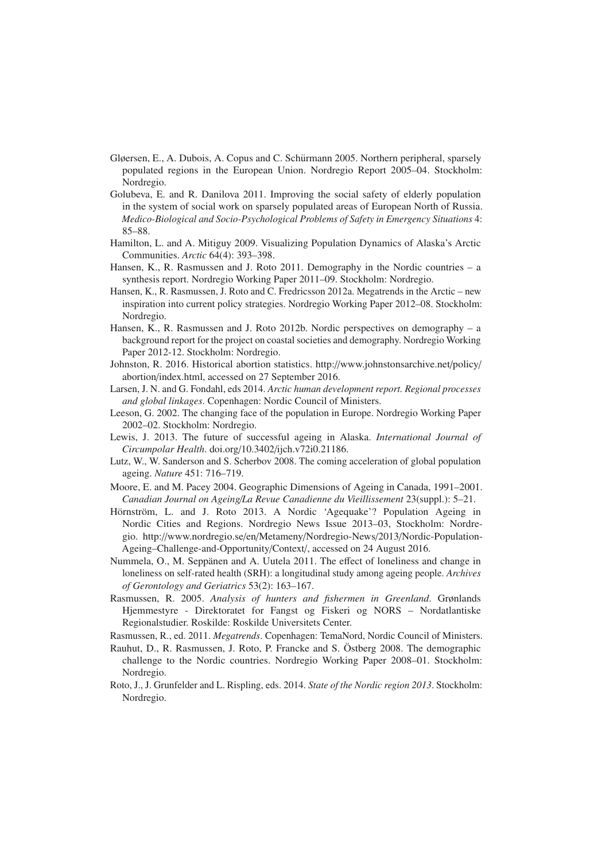- Gløersen, E., A. Dubois, A. Copus and C. Schürmann 2005. Northern peripheral, sparsely populated regions in the European Union. Nordregio Report 2005–04. Stockholm: Nordregio.
- Golubeva, E. and R. Danilova 2011. Improving the social safety of elderly population in the system of social work on sparsely populated areas of European North of Russia. *Medico-Biological and Socio-Psychological Problems of Safety in Emergency Situations* 4: 85–88.
- Hamilton, L. and A. Mitiguy 2009. Visualizing Population Dynamics of Alaska's Arctic Communities. *Arctic* 64(4): 393–398.
- Hansen, K., R. Rasmussen and J. Roto 2011. Demography in the Nordic countries a synthesis report. Nordregio Working Paper 2011–09. Stockholm: Nordregio.
- Hansen, K., R. Rasmussen, J. Roto and C. Fredricsson 2012a. Megatrends in the Arctic new inspiration into current policy strategies. Nordregio Working Paper 2012–08. Stockholm: Nordregio.
- Hansen, K., R. Rasmussen and J. Roto 2012b. Nordic perspectives on demography a background report for the project on coastal societies and demography. Nordregio Working Paper 2012-12. Stockholm: Nordregio.
- Johnston, R. 2016. Historical abortion statistics. http://www.johnstonsarchive.net/policy/ abortion/index.html, accessed on 27 September 2016.
- Larsen, J. N. and G. Fondahl, eds 2014. *Arctic human development report. Regional processes and global linkages*. Copenhagen: Nordic Council of Ministers.
- Leeson, G. 2002. The changing face of the population in Europe. Nordregio Working Paper 2002–02. Stockholm: Nordregio.
- Lewis, J. 2013. The future of successful ageing in Alaska. *International Journal of Circumpolar Health*. doi.org/10.3402/ijch.v72i0.21186.
- Lutz, W., W. Sanderson and S. Scherbov 2008. The coming acceleration of global population ageing. *Nature* 451: 716–719.
- Moore, E. and M. Pacey 2004. Geographic Dimensions of Ageing in Canada, 1991–2001. *Canadian Journal on Ageing*/*La Revue Canadienne du Vieillissement* 23(suppl.): 5–21.
- Hörnström, L. and J. Roto 2013. A Nordic 'Agequake'? Population Ageing in Nordic Cities and Regions. Nordregio News Issue 2013–03, Stockholm: Nordregio. http://www.nordregio.se/en/Metameny/Nordregio-News/2013/Nordic-Population-Ageing–Challenge-and-Opportunity/Context/, accessed on 24 August 2016.
- Nummela, O., M. Seppanen and A. Uutela 2011. The effect of loneliness and change in loneliness on self-rated health (SRH): a longitudinal study among ageing people. *Archives of Gerontology and Geriatrics* 53(2): 163–167.
- Rasmussen, R. 2005. *Analysis of hunters and fishermen in Greenland*. Grønlands Hjemmestyre - Direktoratet for Fangst og Fiskeri og NORS – Nordatlantiske Regionalstudier. Roskilde: Roskilde Universitets Center.
- Rasmussen, R., ed. 2011. *Megatrends*. Copenhagen: TemaNord, Nordic Council of Ministers.
- Rauhut, D., R. Rasmussen, J. Roto, P. Francke and S. Ostberg 2008. The demographic ¨ challenge to the Nordic countries. Nordregio Working Paper 2008–01. Stockholm: Nordregio.
- Roto, J., J. Grunfelder and L. Rispling, eds. 2014. *State of the Nordic region 2013*. Stockholm: Nordregio.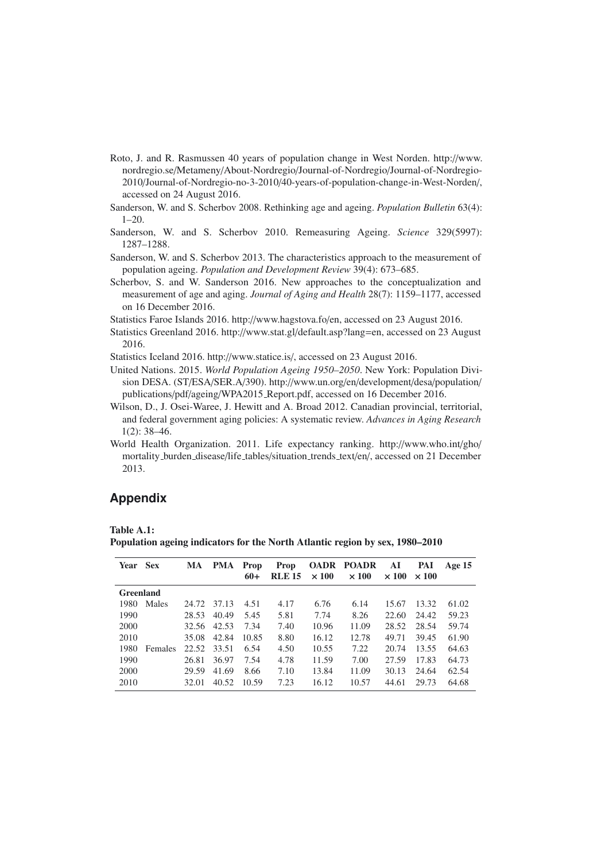Roto, J. and R. Rasmussen 40 years of population change in West Norden. http://www. nordregio.se/Metameny/About-Nordregio/Journal-of-Nordregio/Journal-of-Nordregio-2010/Journal-of-Nordregio-no-3-2010/40-years-of-population-change-in-West-Norden/, accessed on 24 August 2016.

Sanderson, W. and S. Scherbov 2008. Rethinking age and ageing. *Population Bulletin* 63(4):  $1-20.$ 

- Sanderson, W. and S. Scherbov 2010. Remeasuring Ageing. *Science* 329(5997): 1287–1288.
- Sanderson, W. and S. Scherbov 2013. The characteristics approach to the measurement of population ageing. *Population and Development Review* 39(4): 673–685.
- Scherbov, S. and W. Sanderson 2016. New approaches to the conceptualization and measurement of age and aging. *Journal of Aging and Health* 28(7): 1159–1177, accessed on 16 December 2016.

Statistics Faroe Islands 2016. http://www.hagstova.fo/en, accessed on 23 August 2016.

Statistics Greenland 2016. http://www.stat.gl/default.asp?lang=en, accessed on 23 August 2016.

Statistics Iceland 2016. http://www.statice.is/, accessed on 23 August 2016.

- United Nations. 2015. *World Population Ageing 1950–2050*. New York: Population Division DESA. (ST/ESA/SER.A/390). http://www.un.org/en/development/desa/population/ publications/pdf/ageing/WPA2015 Report.pdf, accessed on 16 December 2016.
- Wilson, D., J. Osei-Waree, J. Hewitt and A. Broad 2012. Canadian provincial, territorial, and federal government aging policies: A systematic review. *Advances in Aging Research* 1(2): 38–46.
- World Health Organization. 2011. Life expectancy ranking. http://www.who.int/gho/ mortality burden disease/life tables/situation trends text/en/, accessed on 21 December 2013.

## **Appendix**

Table A.1:

Population ageing indicators for the North Atlantic region by sex, 1980–2010

| Year Sex  |         | MA    | <b>PMA</b> | <b>Prop</b><br>$60+$ | <b>Prop</b><br><b>RLE 15</b> | <b>OADR</b><br>$\times 100$ | POADR<br>$\times 100$ | AI<br>$\times 100$ | PAI<br>$\times 100$ | Age $15$ |
|-----------|---------|-------|------------|----------------------|------------------------------|-----------------------------|-----------------------|--------------------|---------------------|----------|
| Greenland |         |       |            |                      |                              |                             |                       |                    |                     |          |
| 1980      | Males   | 24.72 | 37.13      | 4.51                 | 4.17                         | 6.76                        | 6.14                  | 15.67              | 13.32               | 61.02    |
| 1990      |         | 28.53 | 40.49      | 5.45                 | 5.81                         | 7.74                        | 8.26                  | 22.60              | 24.42               | 59.23    |
| 2000      |         | 32.56 | 42.53      | 7.34                 | 7.40                         | 10.96                       | 11.09                 | 28.52              | 28.54               | 59.74    |
| 2010      |         | 35.08 | 42.84      | 10.85                | 8.80                         | 16.12                       | 12.78                 | 49.71              | 39.45               | 61.90    |
| 1980      | Females | 22.52 | 33.51      | 6.54                 | 4.50                         | 10.55                       | 7.22                  | 20.74              | 13.55               | 64.63    |
| 1990      |         | 26.81 | 36.97      | 7.54                 | 4.78                         | 11.59                       | 7.00                  | 27.59              | 17.83               | 64.73    |
| 2000      |         | 29.59 | 41.69      | 8.66                 | 7.10                         | 13.84                       | 11.09                 | 30.13              | 24.64               | 62.54    |
| 2010      |         | 32.01 | 40.52      | 10.59                | 7.23                         | 16.12                       | 10.57                 | 44.61              | 29.73               | 64.68    |